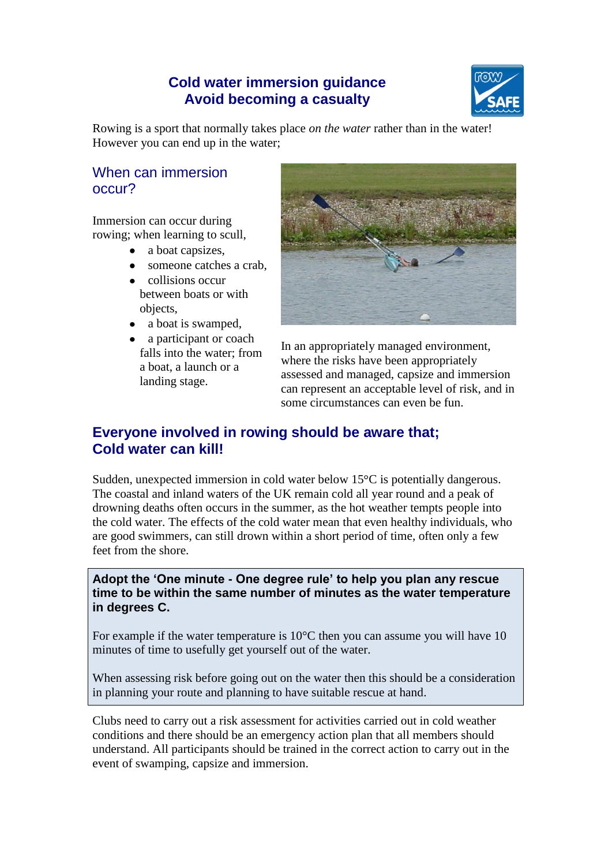# **Cold water immersion guidance Avoid becoming a casualty**



Rowing is a sport that normally takes place *on the water* rather than in the water! However you can end up in the water;

## When can immersion occur?

Immersion can occur during rowing; when learning to scull,

- a boat capsizes,  $\bullet$
- someone catches a crab,
- collisions occur between boats or with objects,
- a boat is swamped,
- a participant or coach falls into the water; from a boat, a launch or a landing stage.



In an appropriately managed environment, where the risks have been appropriately assessed and managed, capsize and immersion can represent an acceptable level of risk, and in some circumstances can even be fun.

# **Everyone involved in rowing should be aware that; Cold water can kill!**

Sudden, unexpected immersion in cold water below  $15^{\circ}$ C is potentially dangerous. The coastal and inland waters of the UK remain cold all year round and a peak of drowning deaths often occurs in the summer, as the hot weather tempts people into the cold water. The effects of the cold water mean that even healthy individuals, who are good swimmers, can still drown within a short period of time, often only a few feet from the shore.

**Adopt the 'One minute - One degree rule' to help you plan any rescue time to be within the same number of minutes as the water temperature in degrees C.**

For example if the water temperature is 10°C then you can assume you will have 10 minutes of time to usefully get yourself out of the water.

When assessing risk before going out on the water then this should be a consideration in planning your route and planning to have suitable rescue at hand.

Clubs need to carry out a risk assessment for activities carried out in cold weather conditions and there should be an emergency action plan that all members should understand. All participants should be trained in the correct action to carry out in the event of swamping, capsize and immersion.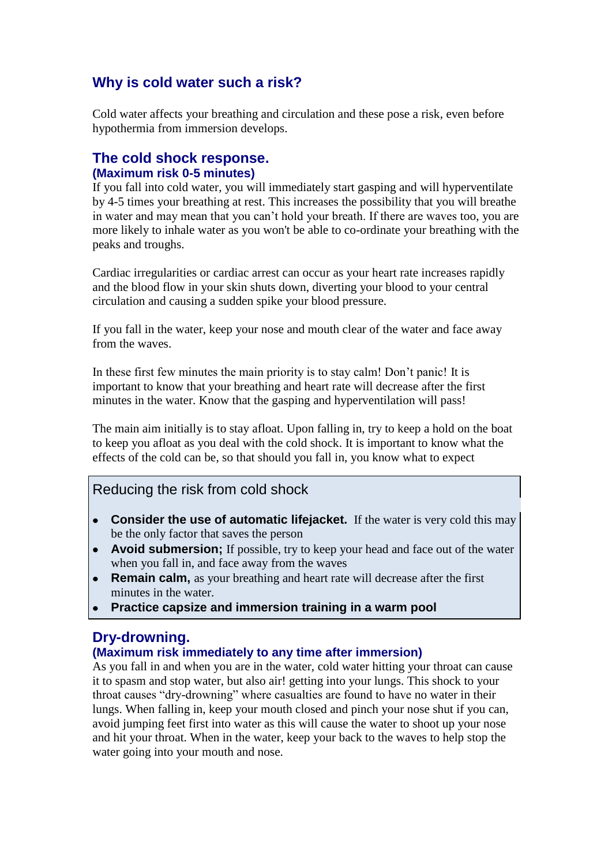# **Why is cold water such a risk?**

Cold water affects your breathing and circulation and these pose a risk, even before hypothermia from immersion develops.

### **The cold shock response. (Maximum risk 0-5 minutes)**

If you fall into cold water, you will immediately start gasping and will hyperventilate by 4-5 times your breathing at rest. This increases the possibility that you will breathe in water and may mean that you can"t hold your breath. If there are waves too, you are more likely to inhale water as you won't be able to co-ordinate your breathing with the peaks and troughs.

Cardiac irregularities or cardiac arrest can occur as your heart rate increases rapidly and the blood flow in your skin shuts down, diverting your blood to your central circulation and causing a sudden spike your blood pressure.

If you fall in the water, keep your nose and mouth clear of the water and face away from the waves.

In these first few minutes the main priority is to stay calm! Don"t panic! It is important to know that your breathing and heart rate will decrease after the first minutes in the water. Know that the gasping and hyperventilation will pass!

The main aim initially is to stay afloat. Upon falling in, try to keep a hold on the boat to keep you afloat as you deal with the cold shock. It is important to know what the effects of the cold can be, so that should you fall in, you know what to expect

### Reducing the risk from cold shock

- **Consider the use of automatic lifejacket.** If the water is very cold this may be the only factor that saves the person
- **Avoid submersion;** If possible, try to keep your head and face out of the water when you fall in, and face away from the waves
- **Remain calm,** as your breathing and heart rate will decrease after the first  $\bullet$ minutes in the water.
- **Practice capsize and immersion training in a warm pool**

### **Dry-drowning.**

#### **(Maximum risk immediately to any time after immersion)**

As you fall in and when you are in the water, cold water hitting your throat can cause it to spasm and stop water, but also air! getting into your lungs. This shock to your throat causes "dry-drowning" where casualties are found to have no water in their lungs. When falling in, keep your mouth closed and pinch your nose shut if you can, avoid jumping feet first into water as this will cause the water to shoot up your nose and hit your throat. When in the water, keep your back to the waves to help stop the water going into your mouth and nose.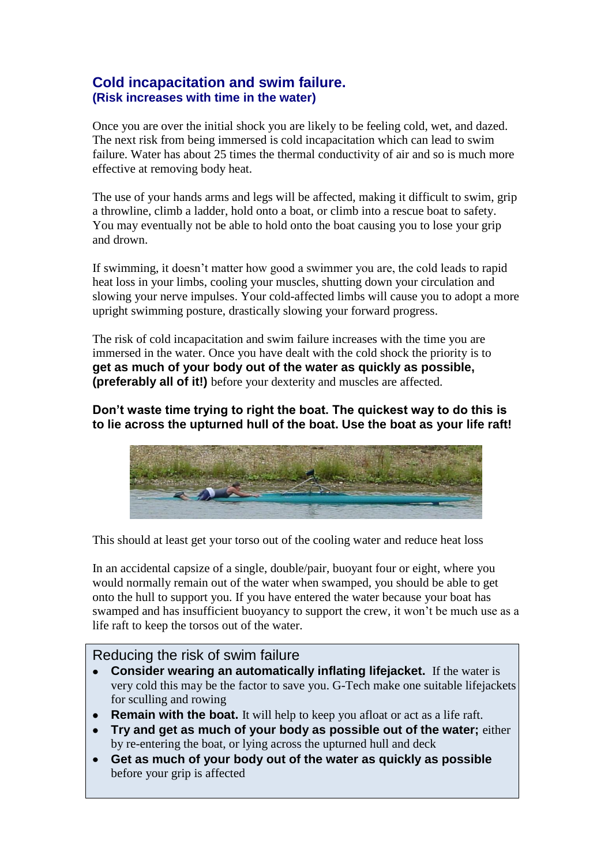### **Cold incapacitation and swim failure. (Risk increases with time in the water)**

Once you are over the initial shock you are likely to be feeling cold, wet, and dazed. The next risk from being immersed is cold incapacitation which can lead to swim failure. Water has about 25 times the thermal conductivity of air and so is much more effective at removing body heat.

The use of your hands arms and legs will be affected, making it difficult to swim, grip a throwline, climb a ladder, hold onto a boat, or climb into a rescue boat to safety. You may eventually not be able to hold onto the boat causing you to lose your grip and drown.

If swimming, it doesn"t matter how good a swimmer you are, the cold leads to rapid heat loss in your limbs, cooling your muscles, shutting down your circulation and slowing your nerve impulses. Your cold-affected limbs will cause you to adopt a more upright swimming posture, drastically slowing your forward progress.

The risk of cold incapacitation and swim failure increases with the time you are immersed in the water. Once you have dealt with the cold shock the priority is to **get as much of your body out of the water as quickly as possible, (preferably all of it!)** before your dexterity and muscles are affected.

**Don't waste time trying to right the boat. The quickest way to do this is to lie across the upturned hull of the boat. Use the boat as your life raft!** 



This should at least get your torso out of the cooling water and reduce heat loss

In an accidental capsize of a single, double/pair, buoyant four or eight, where you would normally remain out of the water when swamped, you should be able to get onto the hull to support you. If you have entered the water because your boat has swamped and has insufficient buoyancy to support the crew, it won"t be much use as a life raft to keep the torsos out of the water.

### Reducing the risk of swim failure

- **Consider wearing an automatically inflating lifejacket.** If the water is very cold this may be the factor to save you. G-Tech make one suitable lifejackets for sculling and rowing
- **Remain with the boat.** It will help to keep you afloat or act as a life raft.
- **Try and get as much of your body as possible out of the water;** either by re-entering the boat, or lying across the upturned hull and deck
- **Get as much of your body out of the water as quickly as possible** before your grip is affected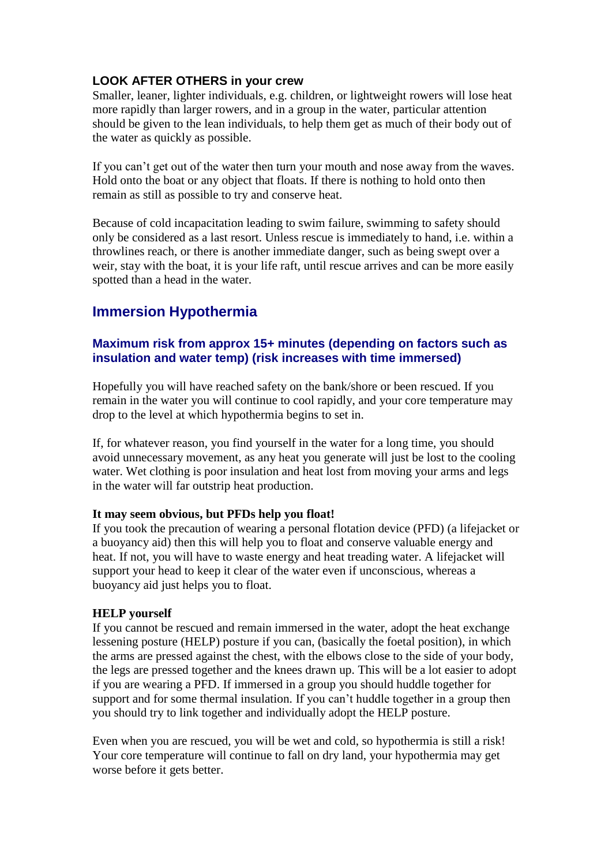#### **LOOK AFTER OTHERS in your crew**

Smaller, leaner, lighter individuals, e.g. children, or lightweight rowers will lose heat more rapidly than larger rowers, and in a group in the water, particular attention should be given to the lean individuals, to help them get as much of their body out of the water as quickly as possible.

If you can"t get out of the water then turn your mouth and nose away from the waves. Hold onto the boat or any object that floats. If there is nothing to hold onto then remain as still as possible to try and conserve heat.

Because of cold incapacitation leading to swim failure, swimming to safety should only be considered as a last resort. Unless rescue is immediately to hand, i.e. within a throwlines reach, or there is another immediate danger, such as being swept over a weir, stay with the boat, it is your life raft, until rescue arrives and can be more easily spotted than a head in the water.

# **Immersion Hypothermia**

#### **Maximum risk from approx 15+ minutes (depending on factors such as insulation and water temp) (risk increases with time immersed)**

Hopefully you will have reached safety on the bank/shore or been rescued. If you remain in the water you will continue to cool rapidly, and your core temperature may drop to the level at which hypothermia begins to set in.

If, for whatever reason, you find yourself in the water for a long time, you should avoid unnecessary movement, as any heat you generate will just be lost to the cooling water. Wet clothing is poor insulation and heat lost from moving your arms and legs in the water will far outstrip heat production.

#### **It may seem obvious, but PFDs help you float!**

If you took the precaution of wearing a personal flotation device (PFD) (a lifejacket or a buoyancy aid) then this will help you to float and conserve valuable energy and heat. If not, you will have to waste energy and heat treading water. A lifejacket will support your head to keep it clear of the water even if unconscious, whereas a buoyancy aid just helps you to float.

#### **HELP yourself**

If you cannot be rescued and remain immersed in the water, adopt the heat exchange lessening posture (HELP) posture if you can, (basically the foetal position), in which the arms are pressed against the chest, with the elbows close to the side of your body, the legs are pressed together and the knees drawn up. This will be a lot easier to adopt if you are wearing a PFD. If immersed in a group you should huddle together for support and for some thermal insulation. If you can"t huddle together in a group then you should try to link together and individually adopt the HELP posture.

Even when you are rescued, you will be wet and cold, so hypothermia is still a risk! Your core temperature will continue to fall on dry land, your hypothermia may get worse before it gets better.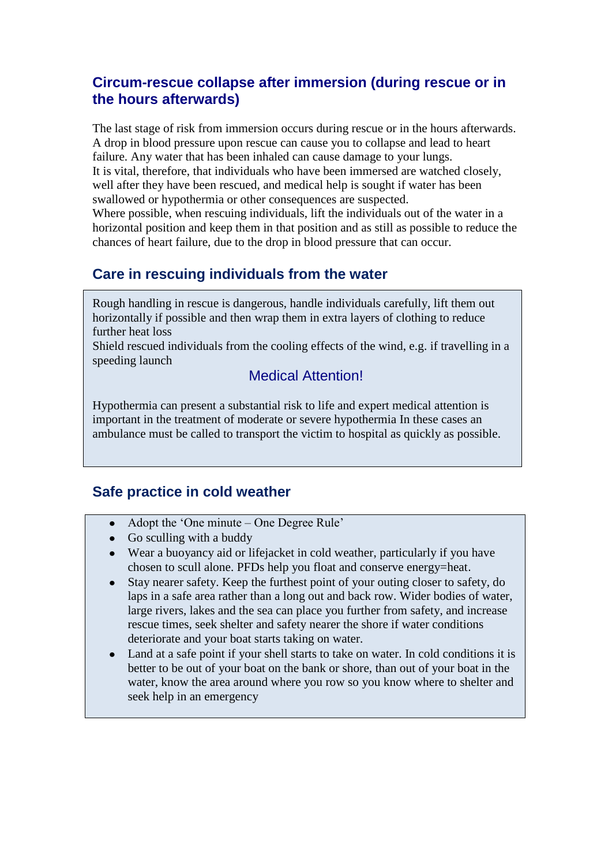# **Circum-rescue collapse after immersion (during rescue or in the hours afterwards)**

The last stage of risk from immersion occurs during rescue or in the hours afterwards. A drop in blood pressure upon rescue can cause you to collapse and lead to heart failure. Any water that has been inhaled can cause damage to your lungs. It is vital, therefore, that individuals who have been immersed are watched closely, well after they have been rescued, and medical help is sought if water has been swallowed or hypothermia or other consequences are suspected.

Where possible, when rescuing individuals, lift the individuals out of the water in a horizontal position and keep them in that position and as still as possible to reduce the chances of heart failure, due to the drop in blood pressure that can occur.

# **Care in rescuing individuals from the water**

Rough handling in rescue is dangerous, handle individuals carefully, lift them out horizontally if possible and then wrap them in extra layers of clothing to reduce further heat loss

Shield rescued individuals from the cooling effects of the wind, e.g. if travelling in a speeding launch

### Medical Attention!

Hypothermia can present a substantial risk to life and expert medical attention is important in the treatment of moderate or severe hypothermia In these cases an ambulance must be called to transport the victim to hospital as quickly as possible.

### **Safe practice in cold weather**

- Adopt the "One minute One Degree Rule"  $\bullet$
- $\bullet$  Go sculling with a buddy
- Wear a buoyancy aid or lifejacket in cold weather, particularly if you have chosen to scull alone. PFDs help you float and conserve energy=heat.
- Stay nearer safety. Keep the furthest point of your outing closer to safety, do  $\bullet$ laps in a safe area rather than a long out and back row. Wider bodies of water, large rivers, lakes and the sea can place you further from safety, and increase rescue times, seek shelter and safety nearer the shore if water conditions deteriorate and your boat starts taking on water.
- Land at a safe point if your shell starts to take on water. In cold conditions it is better to be out of your boat on the bank or shore, than out of your boat in the water, know the area around where you row so you know where to shelter and seek help in an emergency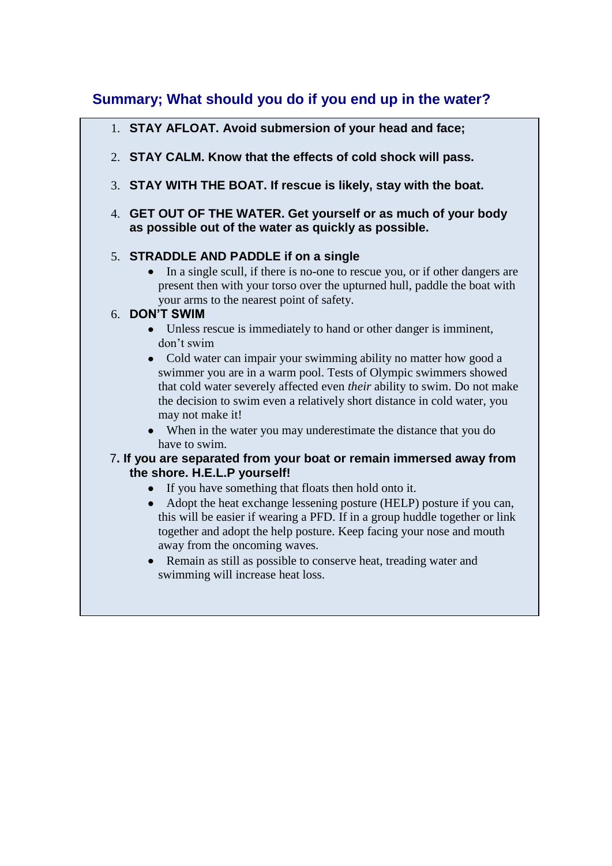# **Summary; What should you do if you end up in the water?**

- 1. **STAY AFLOAT. Avoid submersion of your head and face;**
- 2. **STAY CALM. Know that the effects of cold shock will pass.**
- 3. **STAY WITH THE BOAT. If rescue is likely, stay with the boat.**
- 4. **GET OUT OF THE WATER. Get yourself or as much of your body as possible out of the water as quickly as possible.**

#### 5. **STRADDLE AND PADDLE if on a single**

In a single scull, if there is no-one to rescue you, or if other dangers are present then with your torso over the upturned hull, paddle the boat with your arms to the nearest point of safety.

#### 6. **DON'T SWIM**

- Unless rescue is immediately to hand or other danger is imminent, don"t swim
- Cold water can impair your swimming ability no matter how good a swimmer you are in a warm pool. Tests of Olympic swimmers showed that cold water severely affected even *their* ability to swim. Do not make the decision to swim even a relatively short distance in cold water, you may not make it!
- When in the water you may underestimate the distance that you do have to swim.

#### 7**. If you are separated from your boat or remain immersed away from the shore. H.E.L.P yourself!**

- If you have something that floats then hold onto it.
- Adopt the heat exchange lessening posture (HELP) posture if you can, this will be easier if wearing a PFD. If in a group huddle together or link together and adopt the help posture. Keep facing your nose and mouth away from the oncoming waves.
- Remain as still as possible to conserve heat, treading water and swimming will increase heat loss.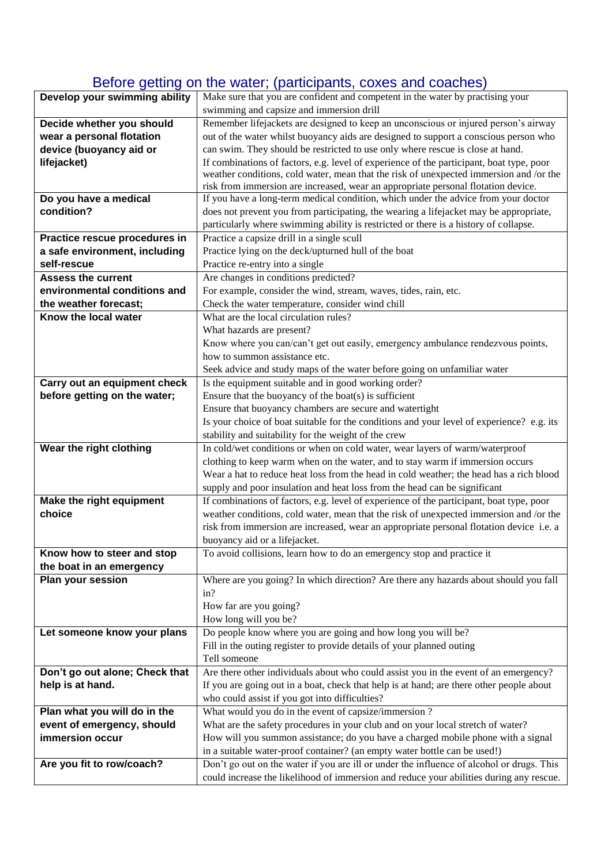# Before getting on the water; (participants, coxes and coaches)

| Develop your swimming ability  | Make sure that you are confident and competent in the water by practising your            |  |  |
|--------------------------------|-------------------------------------------------------------------------------------------|--|--|
|                                | swimming and capsize and immersion drill                                                  |  |  |
| Decide whether you should      | Remember lifejackets are designed to keep an unconscious or injured person's airway       |  |  |
| wear a personal flotation      | out of the water whilst buoyancy aids are designed to support a conscious person who      |  |  |
| device (buoyancy aid or        | can swim. They should be restricted to use only where rescue is close at hand.            |  |  |
| lifejacket)                    | If combinations of factors, e.g. level of experience of the participant, boat type, poor  |  |  |
|                                | weather conditions, cold water, mean that the risk of unexpected immersion and /or the    |  |  |
|                                | risk from immersion are increased, wear an appropriate personal flotation device.         |  |  |
| Do you have a medical          | If you have a long-term medical condition, which under the advice from your doctor        |  |  |
| condition?                     | does not prevent you from participating, the wearing a lifejacket may be appropriate,     |  |  |
|                                | particularly where swimming ability is restricted or there is a history of collapse.      |  |  |
| Practice rescue procedures in  | Practice a capsize drill in a single scull                                                |  |  |
| a safe environment, including  | Practice lying on the deck/upturned hull of the boat                                      |  |  |
| self-rescue                    | Practice re-entry into a single                                                           |  |  |
| <b>Assess the current</b>      | Are changes in conditions predicted?                                                      |  |  |
| environmental conditions and   | For example, consider the wind, stream, waves, tides, rain, etc.                          |  |  |
| the weather forecast;          | Check the water temperature, consider wind chill                                          |  |  |
| Know the local water           | What are the local circulation rules?                                                     |  |  |
|                                | What hazards are present?                                                                 |  |  |
|                                | Know where you can/can't get out easily, emergency ambulance rendezvous points,           |  |  |
|                                | how to summon assistance etc.                                                             |  |  |
|                                | Seek advice and study maps of the water before going on unfamiliar water                  |  |  |
| Carry out an equipment check   | Is the equipment suitable and in good working order?                                      |  |  |
| before getting on the water;   | Ensure that the buoyancy of the boat(s) is sufficient                                     |  |  |
|                                | Ensure that buoyancy chambers are secure and watertight                                   |  |  |
|                                | Is your choice of boat suitable for the conditions and your level of experience? e.g. its |  |  |
|                                | stability and suitability for the weight of the crew                                      |  |  |
| Wear the right clothing        | In cold/wet conditions or when on cold water, wear layers of warm/waterproof              |  |  |
|                                | clothing to keep warm when on the water, and to stay warm if immersion occurs             |  |  |
|                                | Wear a hat to reduce heat loss from the head in cold weather; the head has a rich blood   |  |  |
|                                | supply and poor insulation and heat loss from the head can be significant                 |  |  |
| Make the right equipment       | If combinations of factors, e.g. level of experience of the participant, boat type, poor  |  |  |
| choice                         | weather conditions, cold water, mean that the risk of unexpected immersion and /or the    |  |  |
|                                | risk from immersion are increased, wear an appropriate personal flotation device i.e. a   |  |  |
|                                | buoyancy aid or a lifejacket.                                                             |  |  |
| Know how to steer and stop     | To avoid collisions, learn how to do an emergency stop and practice it                    |  |  |
| the boat in an emergency       |                                                                                           |  |  |
| Plan your session              | Where are you going? In which direction? Are there any hazards about should you fall      |  |  |
|                                | in?                                                                                       |  |  |
|                                | How far are you going?                                                                    |  |  |
|                                | How long will you be?                                                                     |  |  |
| Let someone know your plans    | Do people know where you are going and how long you will be?                              |  |  |
|                                | Fill in the outing register to provide details of your planned outing                     |  |  |
|                                | Tell someone                                                                              |  |  |
| Don't go out alone; Check that | Are there other individuals about who could assist you in the event of an emergency?      |  |  |
| help is at hand.               | If you are going out in a boat, check that help is at hand; are there other people about  |  |  |
|                                | who could assist if you got into difficulties?                                            |  |  |
| Plan what you will do in the   | What would you do in the event of capsize/immersion?                                      |  |  |
| event of emergency, should     | What are the safety procedures in your club and on your local stretch of water?           |  |  |
| immersion occur                | How will you summon assistance; do you have a charged mobile phone with a signal          |  |  |
|                                | in a suitable water-proof container? (an empty water bottle can be used!)                 |  |  |
| Are you fit to row/coach?      | Don't go out on the water if you are ill or under the influence of alcohol or drugs. This |  |  |
|                                | could increase the likelihood of immersion and reduce your abilities during any rescue.   |  |  |